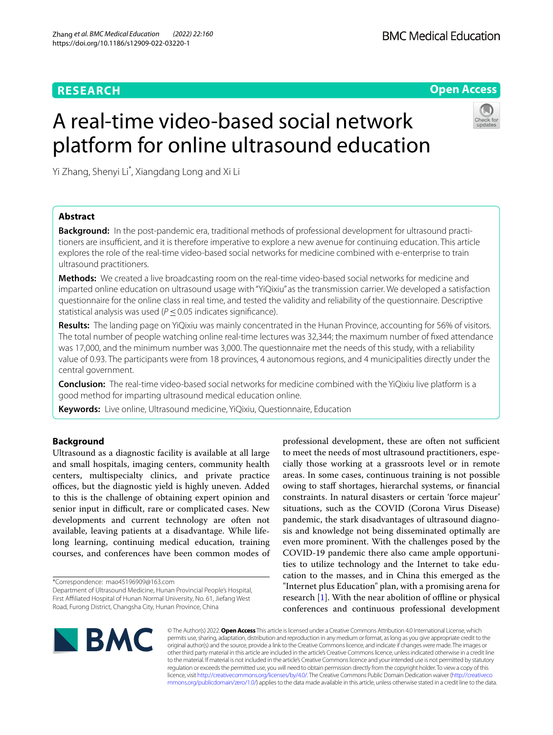**Open Access**

# A real-time video-based social network platform for online ultrasound education

Yi Zhang, Shenyi Li\* , Xiangdang Long and Xi Li

# **Abstract**

**Background:** In the post-pandemic era, traditional methods of professional development for ultrasound practitioners are insufficient, and it is therefore imperative to explore a new avenue for continuing education. This article explores the role of the real-time video-based social networks for medicine combined with e-enterprise to train ultrasound practitioners.

**Methods:** We created a live broadcasting room on the real-time video-based social networks for medicine and imparted online education on ultrasound usage with "YiQixiu" as the transmission carrier. We developed a satisfaction questionnaire for the online class in real time, and tested the validity and reliability of the questionnaire. Descriptive statistical analysis was used (*P* ≤ 0.05 indicates significance).

**Results:** The landing page on YiQixiu was mainly concentrated in the Hunan Province, accounting for 56% of visitors. The total number of people watching online real-time lectures was 32,344; the maximum number of fxed attendance was 17,000, and the minimum number was 3,000. The questionnaire met the needs of this study, with a reliability value of 0.93. The participants were from 18 provinces, 4 autonomous regions, and 4 municipalities directly under the central government.

**Conclusion:** The real-time video-based social networks for medicine combined with the YiQixiu live platform is a good method for imparting ultrasound medical education online.

**Keywords:** Live online, Ultrasound medicine, YiQixiu, Questionnaire, Education

# **Background**

Ultrasound as a diagnostic facility is available at all large and small hospitals, imaging centers, community health centers, multispecialty clinics, and private practice offices, but the diagnostic yield is highly uneven. Added to this is the challenge of obtaining expert opinion and senior input in difficult, rare or complicated cases. New developments and current technology are often not available, leaving patients at a disadvantage. While lifelong learning, continuing medical education, training courses, and conferences have been common modes of

\*Correspondence: mao45196909@163.com

Department of Ultrasound Medicine, Hunan Provincial People's Hospital, First Afliated Hospital of Hunan Normal University, No. 61, Jiefang West Road, Furong District, Changsha City, Hunan Province, China

professional development, these are often not sufficient to meet the needs of most ultrasound practitioners, especially those working at a grassroots level or in remote areas. In some cases, continuous training is not possible owing to staf shortages, hierarchal systems, or fnancial constraints. In natural disasters or certain 'force majeur' situations, such as the COVID (Corona Virus Disease) pandemic, the stark disadvantages of ultrasound diagnosis and knowledge not being disseminated optimally are even more prominent. With the challenges posed by the COVID-19 pandemic there also came ample opportunities to utilize technology and the Internet to take education to the masses, and in China this emerged as the "Internet plus Education" plan, with a promising arena for research [[1\]](#page-6-0). With the near abolition of offline or physical conferences and continuous professional development



© The Author(s) 2022. **Open Access** This article is licensed under a Creative Commons Attribution 4.0 International License, which permits use, sharing, adaptation, distribution and reproduction in any medium or format, as long as you give appropriate credit to the original author(s) and the source, provide a link to the Creative Commons licence, and indicate if changes were made. The images or other third party material in this article are included in the article's Creative Commons licence, unless indicated otherwise in a credit line to the material. If material is not included in the article's Creative Commons licence and your intended use is not permitted by statutory regulation or exceeds the permitted use, you will need to obtain permission directly from the copyright holder. To view a copy of this licence, visit [http://creativecommons.org/licenses/by/4.0/.](http://creativecommons.org/licenses/by/4.0/) The Creative Commons Public Domain Dedication waiver ([http://creativeco](http://creativecommons.org/publicdomain/zero/1.0/) [mmons.org/publicdomain/zero/1.0/](http://creativecommons.org/publicdomain/zero/1.0/)) applies to the data made available in this article, unless otherwise stated in a credit line to the data.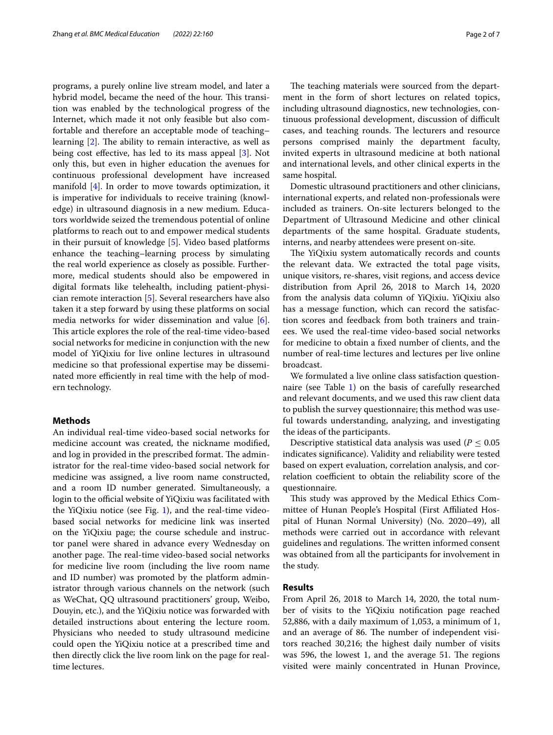programs, a purely online live stream model, and later a hybrid model, became the need of the hour. This transition was enabled by the technological progress of the Internet, which made it not only feasible but also comfortable and therefore an acceptable mode of teaching– learning  $[2]$  $[2]$ . The ability to remain interactive, as well as being cost efective, has led to its mass appeal [[3](#page-6-2)]. Not only this, but even in higher education the avenues for continuous professional development have increased manifold [\[4](#page-6-3)]. In order to move towards optimization, it is imperative for individuals to receive training (knowledge) in ultrasound diagnosis in a new medium. Educators worldwide seized the tremendous potential of online platforms to reach out to and empower medical students in their pursuit of knowledge [\[5](#page-6-4)]. Video based platforms enhance the teaching–learning process by simulating the real world experience as closely as possible. Furthermore, medical students should also be empowered in digital formats like telehealth, including patient-physician remote interaction [[5\]](#page-6-4). Several researchers have also taken it a step forward by using these platforms on social media networks for wider dissemination and value [\[6](#page-6-5)]. This article explores the role of the real-time video-based social networks for medicine in conjunction with the new model of YiQixiu for live online lectures in ultrasound medicine so that professional expertise may be disseminated more efficiently in real time with the help of modern technology.

## **Methods**

An individual real-time video-based social networks for medicine account was created, the nickname modifed, and log in provided in the prescribed format. The administrator for the real-time video-based social network for medicine was assigned, a live room name constructed, and a room ID number generated. Simultaneously, a login to the official website of YiQixiu was facilitated with the YiQixiu notice (see Fig. [1\)](#page-2-0), and the real-time videobased social networks for medicine link was inserted on the YiQixiu page; the course schedule and instructor panel were shared in advance every Wednesday on another page. The real-time video-based social networks for medicine live room (including the live room name and ID number) was promoted by the platform administrator through various channels on the network (such as WeChat, QQ ultrasound practitioners' group, Weibo, Douyin, etc.), and the YiQixiu notice was forwarded with detailed instructions about entering the lecture room. Physicians who needed to study ultrasound medicine could open the YiQixiu notice at a prescribed time and then directly click the live room link on the page for realtime lectures.

The teaching materials were sourced from the department in the form of short lectures on related topics, including ultrasound diagnostics, new technologies, continuous professional development, discussion of difficult cases, and teaching rounds. The lecturers and resource persons comprised mainly the department faculty, invited experts in ultrasound medicine at both national and international levels, and other clinical experts in the same hospital.

Domestic ultrasound practitioners and other clinicians, international experts, and related non-professionals were included as trainers. On-site lecturers belonged to the Department of Ultrasound Medicine and other clinical departments of the same hospital. Graduate students, interns, and nearby attendees were present on-site.

The YiQixiu system automatically records and counts the relevant data. We extracted the total page visits, unique visitors, re-shares, visit regions, and access device distribution from April 26, 2018 to March 14, 2020 from the analysis data column of YiQixiu. YiQixiu also has a message function, which can record the satisfaction scores and feedback from both trainers and trainees. We used the real-time video-based social networks for medicine to obtain a fxed number of clients, and the number of real-time lectures and lectures per live online broadcast.

We formulated a live online class satisfaction questionnaire (see Table [1](#page-2-1)) on the basis of carefully researched and relevant documents, and we used this raw client data to publish the survey questionnaire; this method was useful towards understanding, analyzing, and investigating the ideas of the participants.

Descriptive statistical data analysis was used ( $P \leq 0.05$ ) indicates signifcance). Validity and reliability were tested based on expert evaluation, correlation analysis, and correlation coefficient to obtain the reliability score of the questionnaire.

This study was approved by the Medical Ethics Committee of Hunan People's Hospital (First Afliated Hospital of Hunan Normal University) (No. 2020–49), all methods were carried out in accordance with relevant guidelines and regulations. The written informed consent was obtained from all the participants for involvement in the study.

# **Results**

From April 26, 2018 to March 14, 2020, the total number of visits to the YiQixiu notifcation page reached 52,886, with a daily maximum of 1,053, a minimum of 1, and an average of 86. The number of independent visitors reached 30,216; the highest daily number of visits was 596, the lowest 1, and the average  $51$ . The regions visited were mainly concentrated in Hunan Province,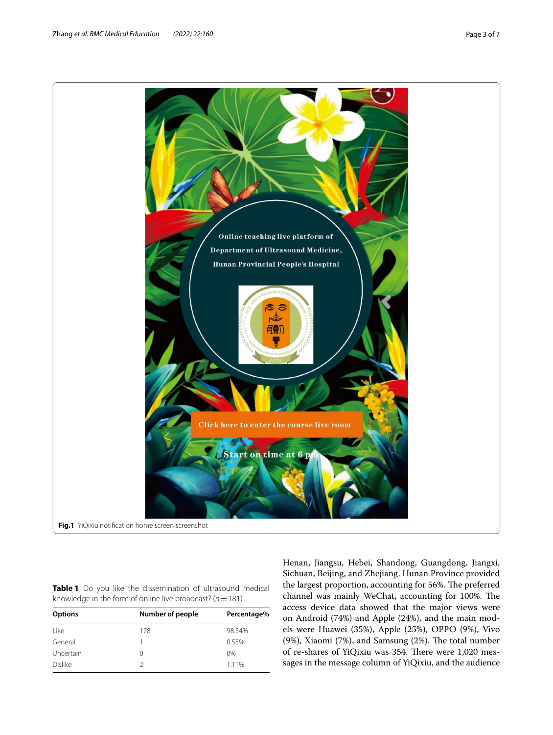<span id="page-2-1"></span><span id="page-2-0"></span>**Table 1** Do you like the dissemination of ultrasound medical knowledge in the form of online live broadcast? (*n*=181)

| <b>Options</b> | Number of people | Percentage% |  |  |
|----------------|------------------|-------------|--|--|
| l ike          | 178              | 98.34%      |  |  |
| General        |                  | 0.55%       |  |  |
| Uncertain      | $\left( \right)$ | $0\%$       |  |  |
| <b>Dislike</b> |                  | 1.11%       |  |  |
|                |                  |             |  |  |

Henan, Jiangsu, Hebei, Shandong, Guangdong, Jiangxi, Sichuan, Beijing, and Zhejiang. Hunan Province provided the largest proportion, accounting for 56%. The preferred channel was mainly WeChat, accounting for 100%. The access device data showed that the major views were on Android (74%) and Apple (24%), and the main models were Huawei (35%), Apple (25%), OPPO (9%), Vivo (9%), Xiaomi (7%), and Samsung  $(2%)$ . The total number of re-shares of YiQixiu was 354. There were 1,020 messages in the message column of YiQixiu, and the audience

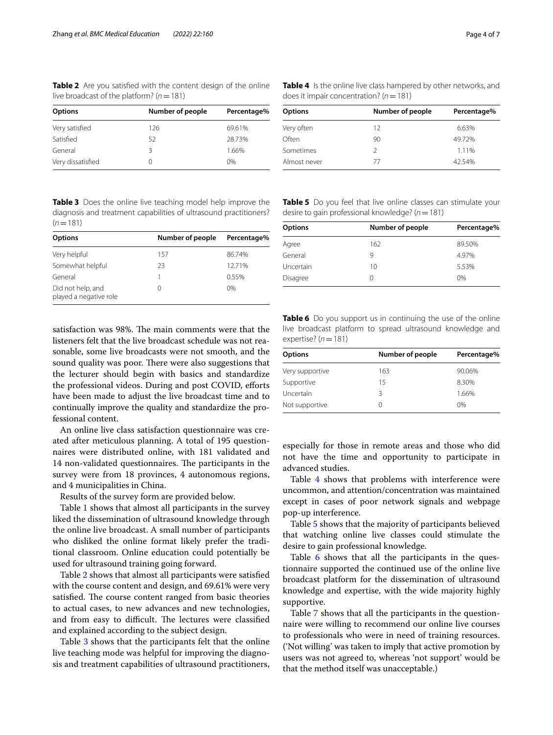<span id="page-3-0"></span>**Table 2** Are you satisfed with the content design of the online live broadcast of the platform? (*n*=181)

| <b>Options</b>    | Number of people | Percentage% |
|-------------------|------------------|-------------|
| Very satisfied    | 126              | 69.61%      |
| Satisfied         | 52               | 28.73%      |
| General           |                  | 1.66%       |
| Very dissatisfied |                  | $0\%$       |

<span id="page-3-2"></span>**Table 4** Is the online live class hampered by other networks, and does it impair concentration? (*n*=181)

| <b>Options</b> | Number of people | Percentage% |
|----------------|------------------|-------------|
| Very often     | 12               | 6.63%       |
| Often          | 90               | 49.72%      |
| Sometimes      | 2                | 1.11%       |
| Almost never   | 77               | 42.54%      |

<span id="page-3-1"></span>**Table 3** Does the online live teaching model help improve the diagnosis and treatment capabilities of ultrasound practitioners?  $(n=181)$ 

| Number of people | Percentage% |
|------------------|-------------|
| 157              | 86.74%      |
| 23               | 12.71%      |
|                  | 0.55%       |
| 0                | $0\%$       |
|                  |             |

satisfaction was 98%. The main comments were that the listeners felt that the live broadcast schedule was not reasonable, some live broadcasts were not smooth, and the sound quality was poor. There were also suggestions that the lecturer should begin with basics and standardize the professional videos. During and post COVID, efforts have been made to adjust the live broadcast time and to continually improve the quality and standardize the professional content.

An online live class satisfaction questionnaire was created after meticulous planning. A total of 195 questionnaires were distributed online, with 181 validated and 14 non-validated questionnaires. The participants in the survey were from 18 provinces, 4 autonomous regions, and 4 municipalities in China.

Results of the survey form are provided below.

Table [1](#page-2-1) shows that almost all participants in the survey liked the dissemination of ultrasound knowledge through the online live broadcast. A small number of participants who disliked the online format likely prefer the traditional classroom. Online education could potentially be used for ultrasound training going forward.

Table [2](#page-3-0) shows that almost all participants were satisfed with the course content and design, and 69.61% were very satisfied. The course content ranged from basic theories to actual cases, to new advances and new technologies, and from easy to difficult. The lectures were classified and explained according to the subject design.

Table [3](#page-3-1) shows that the participants felt that the online live teaching mode was helpful for improving the diagnosis and treatment capabilities of ultrasound practitioners,

<span id="page-3-3"></span>**Table 5** Do you feel that live online classes can stimulate your desire to gain professional knowledge? (*n*=181)

| <b>Options</b> | Number of people | Percentage% |
|----------------|------------------|-------------|
| Agree          | 162              | 89.50%      |
| General        | 9                | 4.97%       |
| Uncertain      | 10               | 5.53%       |
| Disagree       |                  | $0\%$       |

<span id="page-3-4"></span>**Table 6** Do you support us in continuing the use of the online live broadcast platform to spread ultrasound knowledge and expertise? (*n*=181)

| <b>Options</b>  | Number of people | Percentage% |
|-----------------|------------------|-------------|
| Very supportive | 163              | 90.06%      |
| Supportive      | 15               | 8.30%       |
| Uncertain       | 3                | 1.66%       |
| Not supportive  | $^{()}$          | 0%          |

especially for those in remote areas and those who did not have the time and opportunity to participate in advanced studies.

Table [4](#page-3-2) shows that problems with interference were uncommon, and attention/concentration was maintained except in cases of poor network signals and webpage pop-up interference.

Table [5](#page-3-3) shows that the majority of participants believed that watching online live classes could stimulate the desire to gain professional knowledge.

Table [6](#page-3-4) shows that all the participants in the questionnaire supported the continued use of the online live broadcast platform for the dissemination of ultrasound knowledge and expertise, with the wide majority highly supportive.

Table [7](#page-4-0) shows that all the participants in the questionnaire were willing to recommend our online live courses to professionals who were in need of training resources. ('Not willing' was taken to imply that active promotion by users was not agreed to, whereas 'not support' would be that the method itself was unacceptable.)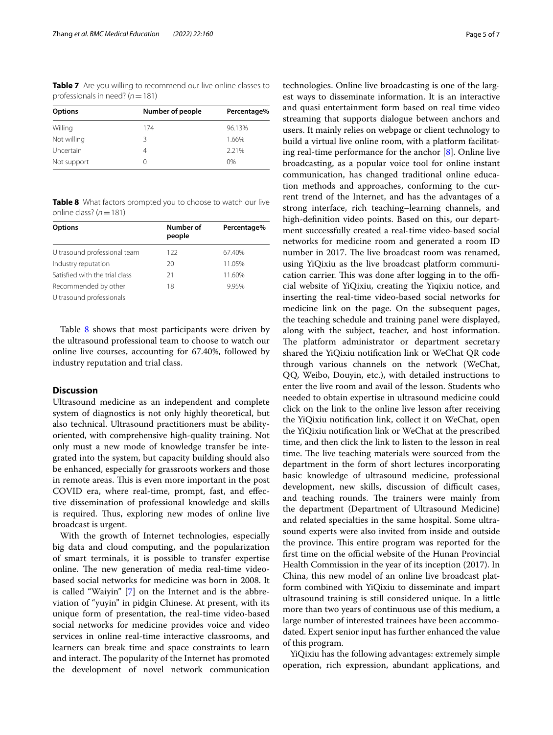<span id="page-4-0"></span>**Table 7** Are you willing to recommend our live online classes to professionals in need? (*n*=181)

| Percentage% |
|-------------|
|             |
| 96.13%      |
| 1.66%       |
| 2.21%       |
| $0\%$       |
|             |

<span id="page-4-1"></span>**Table 8** What factors prompted you to choose to watch our live online class? (*n*=181)

| Number of<br>people | Percentage% |
|---------------------|-------------|
| 122                 | 67.40%      |
| 20                  | 11.05%      |
| 21                  | 11.60%      |
| 18                  | 9.95%       |
|                     |             |
|                     |             |

Table [8](#page-4-1) shows that most participants were driven by the ultrasound professional team to choose to watch our online live courses, accounting for 67.40%, followed by industry reputation and trial class.

# **Discussion**

Ultrasound medicine as an independent and complete system of diagnostics is not only highly theoretical, but also technical. Ultrasound practitioners must be abilityoriented, with comprehensive high-quality training. Not only must a new mode of knowledge transfer be integrated into the system, but capacity building should also be enhanced, especially for grassroots workers and those in remote areas. This is even more important in the post COVID era, where real-time, prompt, fast, and efective dissemination of professional knowledge and skills is required. Thus, exploring new modes of online live broadcast is urgent.

With the growth of Internet technologies, especially big data and cloud computing, and the popularization of smart terminals, it is possible to transfer expertise online. The new generation of media real-time videobased social networks for medicine was born in 2008. It is called "Waiyin" [[7\]](#page-6-6) on the Internet and is the abbreviation of "yuyin" in pidgin Chinese. At present, with its unique form of presentation, the real-time video-based social networks for medicine provides voice and video services in online real-time interactive classrooms, and learners can break time and space constraints to learn and interact. The popularity of the Internet has promoted the development of novel network communication

technologies. Online live broadcasting is one of the largest ways to disseminate information. It is an interactive and quasi entertainment form based on real time video streaming that supports dialogue between anchors and users. It mainly relies on webpage or client technology to build a virtual live online room, with a platform facilitating real-time performance for the anchor [\[8](#page-6-7)]. Online live broadcasting, as a popular voice tool for online instant communication, has changed traditional online education methods and approaches, conforming to the current trend of the Internet, and has the advantages of a strong interface, rich teaching–learning channels, and high-defnition video points. Based on this, our department successfully created a real-time video-based social networks for medicine room and generated a room ID number in 2017. The live broadcast room was renamed, using YiQixiu as the live broadcast platform communication carrier. This was done after logging in to the official website of YiQixiu, creating the Yiqixiu notice, and inserting the real-time video-based social networks for medicine link on the page. On the subsequent pages, the teaching schedule and training panel were displayed, along with the subject, teacher, and host information. The platform administrator or department secretary shared the YiQixiu notifcation link or WeChat QR code through various channels on the network (WeChat, QQ, Weibo, Douyin, etc.), with detailed instructions to enter the live room and avail of the lesson. Students who needed to obtain expertise in ultrasound medicine could click on the link to the online live lesson after receiving the YiQixiu notifcation link, collect it on WeChat, open the YiQixiu notifcation link or WeChat at the prescribed time, and then click the link to listen to the lesson in real time. The live teaching materials were sourced from the department in the form of short lectures incorporating basic knowledge of ultrasound medicine, professional development, new skills, discussion of difficult cases, and teaching rounds. The trainers were mainly from the department (Department of Ultrasound Medicine) and related specialties in the same hospital. Some ultrasound experts were also invited from inside and outside the province. This entire program was reported for the first time on the official website of the Hunan Provincial Health Commission in the year of its inception (2017). In China, this new model of an online live broadcast platform combined with YiQixiu to disseminate and impart ultrasound training is still considered unique. In a little more than two years of continuous use of this medium, a large number of interested trainees have been accommodated. Expert senior input has further enhanced the value of this program.

YiQixiu has the following advantages: extremely simple operation, rich expression, abundant applications, and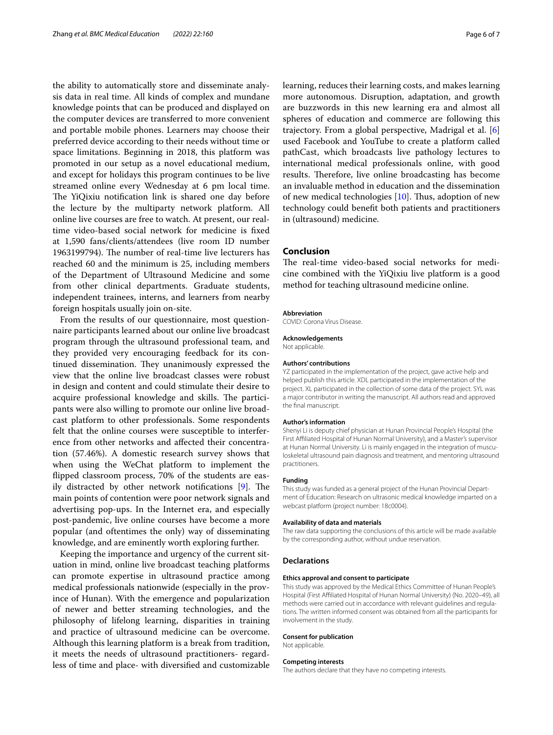the ability to automatically store and disseminate analysis data in real time. All kinds of complex and mundane knowledge points that can be produced and displayed on the computer devices are transferred to more convenient and portable mobile phones. Learners may choose their preferred device according to their needs without time or space limitations. Beginning in 2018, this platform was promoted in our setup as a novel educational medium, and except for holidays this program continues to be live streamed online every Wednesday at 6 pm local time. The YiQixiu notification link is shared one day before the lecture by the multiparty network platform. All online live courses are free to watch. At present, our realtime video-based social network for medicine is fxed at 1,590 fans/clients/attendees (live room ID number 1963199794). The number of real-time live lecturers has reached 60 and the minimum is 25, including members of the Department of Ultrasound Medicine and some from other clinical departments. Graduate students, independent trainees, interns, and learners from nearby foreign hospitals usually join on-site.

From the results of our questionnaire, most questionnaire participants learned about our online live broadcast program through the ultrasound professional team, and they provided very encouraging feedback for its continued dissemination. They unanimously expressed the view that the online live broadcast classes were robust in design and content and could stimulate their desire to acquire professional knowledge and skills. The participants were also willing to promote our online live broadcast platform to other professionals. Some respondents felt that the online courses were susceptible to interference from other networks and afected their concentration (57.46%). A domestic research survey shows that when using the WeChat platform to implement the fipped classroom process, 70% of the students are easily distracted by other network notifications  $[9]$  $[9]$ . The main points of contention were poor network signals and advertising pop-ups. In the Internet era, and especially post-pandemic, live online courses have become a more popular (and oftentimes the only) way of disseminating knowledge, and are eminently worth exploring further.

Keeping the importance and urgency of the current situation in mind, online live broadcast teaching platforms can promote expertise in ultrasound practice among medical professionals nationwide (especially in the province of Hunan). With the emergence and popularization of newer and better streaming technologies, and the philosophy of lifelong learning, disparities in training and practice of ultrasound medicine can be overcome. Although this learning platform is a break from tradition, it meets the needs of ultrasound practitioners- regardless of time and place- with diversifed and customizable learning, reduces their learning costs, and makes learning more autonomous. Disruption, adaptation, and growth are buzzwords in this new learning era and almost all spheres of education and commerce are following this trajectory. From a global perspective, Madrigal et al. [\[6](#page-6-5)] used Facebook and YouTube to create a platform called pathCast, which broadcasts live pathology lectures to international medical professionals online, with good results. Therefore, live online broadcasting has become an invaluable method in education and the dissemination of new medical technologies  $[10]$ . Thus, adoption of new technology could beneft both patients and practitioners in (ultrasound) medicine.

## **Conclusion**

The real-time video-based social networks for medicine combined with the YiQixiu live platform is a good method for teaching ultrasound medicine online.

#### **Abbreviation**

COVID: Corona Virus Disease.

## **Acknowledgements** Not applicable.

## **Authors' contributions**

YZ participated in the implementation of the project, gave active help and helped publish this article. XDL participated in the implementation of the project. XL participated in the collection of some data of the project. SYL was a major contributor in writing the manuscript. All authors read and approved the fnal manuscript.

#### **Author's information**

Shenyi Li is deputy chief physician at Hunan Provincial People's Hospital (the First Afliated Hospital of Hunan Normal University), and a Master's supervisor at Hunan Normal University. Li is mainly engaged in the integration of musculoskeletal ultrasound pain diagnosis and treatment, and mentoring ultrasound practitioners.

## **Funding**

This study was funded as a general project of the Hunan Provincial Department of Education: Research on ultrasonic medical knowledge imparted on a webcast platform (project number: 18c0004).

#### **Availability of data and materials**

The raw data supporting the conclusions of this article will be made available by the corresponding author, without undue reservation.

## **Declarations**

#### **Ethics approval and consent to participate**

This study was approved by the Medical Ethics Committee of Hunan People's Hospital (First Afliated Hospital of Hunan Normal University) (No. 2020–49), all methods were carried out in accordance with relevant guidelines and regulations. The written informed consent was obtained from all the participants for involvement in the study.

#### **Consent for publication**

Not applicable.

#### **Competing interests**

The authors declare that they have no competing interests.